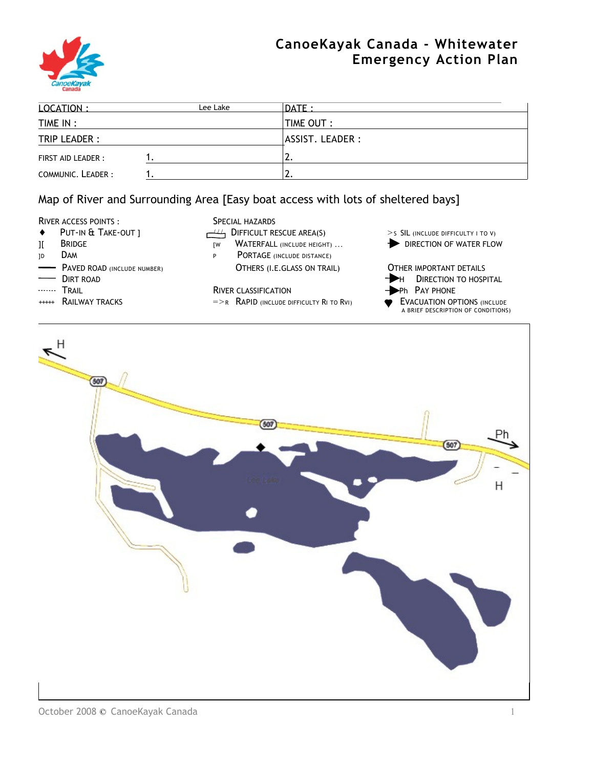

# **CanoeKayak Canada - Whitewater Emergency Action Plan**

| 10CATION:          | Lee Lake | $\overline{DATE}$ : |  |
|--------------------|----------|---------------------|--|
| TIME IN :          |          | <b>TIME OUT:</b>    |  |
| TRIP LEADER :      |          | ASSIST. LEADER :    |  |
| FIRST AID LEADER : |          | <u>.</u>            |  |
| COMMUNIC. LEADER:  |          | <u>.</u>            |  |

# Map of River and Surrounding Area [Easy boat access with lots of sheltered bays]

- RIVER ACCESS POINTS :<br>
PUT-IN & TAKE-OUT | SPECIAL HAZARDS
- 
- 
- 
- 
- 
- 

- ♦ PUT-IN & TAKE-OUT ] / / / DIFFICULT RESCUE AREA(S) > <sup>S</sup> SIL (INCLUDE DIFFICULTY I TO V)
	-
- JD DAM PORTAGE (INCLUDE DISTANCE) **PAVED ROAD (INCLUDE NUMBER) COTHERS (I.E.GLASS ON TRAIL) COTHER IMPORTANT DETAILS**

### TRAIL **TRAIL RIVER CLASSIFICATION Phone PAY PHONE**

- $++++$  RAILWAY TRACKS  $=$   $\geq$  R RAPID (INCLUDE DIFFICULTY RI TO RVI)  $\bullet$  EVACUATION OPTIONS (INCLUDE
- 
- II BRIDGE THE RESERVING THE RESERVING THE RESERVING THE RESERVING THE RESERVING OF WATER FLOW
	- $\rightarrow$  Dirt road has been absoluted by the contract of the contract of the contract of the Direction to Hospital.
		-
		- A BRIEF DESCRIPTION OF CONDITIONS)